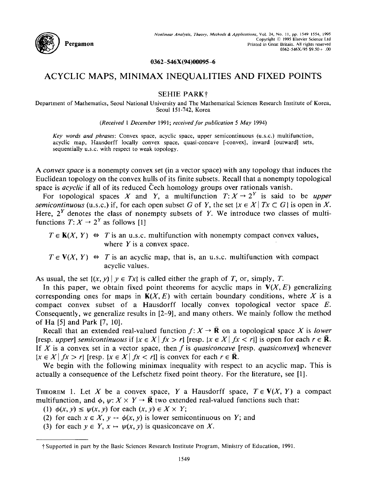

## **0362-546X(94)00095-6**

# ACYCLIC MAPS, MINIMAX INEQUALITIES AND FIXED POINTS

## **SEHIE PARK+**

Department of Mathematics, Seoul National University and The Mathematical Sciences Research Institute of Korea, Seoul 151-742, Korea

*(Received 1 December* 1991; *received for publication 5 May* 1994)

*Key words and phrases:* Convex space, acyclic space, upper semicontinuous (u.s.c.) multifunction, acyclic map, Hausdorff locally convex space, quasi-concave [-convex], inward [outward] sets, sequentially u.s.c, with respect to weak topology.

*A convex space* is a nonempty convex set (in a vector space) with any topology that induces the Euclidean topology on the convex hulls of its finite subsets. Recall that a nonempty topological space is *acyclic* if all of its reduced Čech homology groups over rationals vanish.

For topological spaces X and Y, a multifunction  $T: X \to 2^Y$  is said to be *upper semicontinuous* (u.s.c.) if, for each open subset G of Y, the set  $\{x \in X | Tx \subset G\}$  is open in X. Here,  $2<sup>Y</sup>$  denotes the class of nonempty subsets of Y. We introduce two classes of multifunctions  $T: X \rightarrow 2^Y$  as follows [1]

- $T \in K(X, Y) \Leftrightarrow T$  is an u.s.c. multifunction with nonempty compact convex values, where  $Y$  is a convex space.
- $T \in V(X, Y) \Leftrightarrow T$  is an acyclic map, that is, an u.s.c. multifunction with compact acyclic values.

As usual, the set  $\{(x, y) | y \in Tx\}$  is called either the graph of T, or, simply, T.

In this paper, we obtain fixed point theorems for acyclic maps in  $V(X, E)$  generalizing corresponding ones for maps in  $K(X, E)$  with certain boundary conditions, where X is a compact convex subset of a Hausdorff locally convex topological vector space E. Consequently, we generalize results in [2-9], and many others. We mainly follow the method of Ha [5] and Park [7, 10].

Recall that an extended real-valued function  $f: X \to \overline{\mathbb{R}}$  on a topological space X is *lower* [resp. *upper*] semicontinuous if  $\{x \in X \mid fx > r\}$  [resp.  $\{x \in X \mid fx < r\}$ ] is open for each  $r \in \overline{R}$ . If X is a convex set in a vector space, then f is *quasiconcave* [resp. *quasiconvex]* whenever  $|x \in X | fx > r$  [resp.  $\{x \in X | fx < r\}$ ] is convex for each  $r \in \overline{R}$ .

We begin with the following minimax inequality with respect to an acyclic map. This is actually a consequence of the Lefschetz fixed point theory. For the literature, see [1].

THEOREM 1. Let X be a convex space, Y a Hausdorff space,  $T \in V(X, Y)$  a compact multifunction, and  $\phi$ ,  $\psi: X \times Y \to \mathbf{R}$  two extended real-valued functions such that:

(1)  $\phi(x, y) \leq \psi(x, y)$  for each  $(x, y) \in X \times Y$ ;

- (2) for each  $x \in X$ ,  $y \mapsto \phi(x, y)$  is lower semicontinuous on Y; and
- (3) for each  $y \in Y$ ,  $x \mapsto \psi(x, y)$  is quasiconcave on X.

<sup>~</sup> Supported in part by the Basic Sciences Research Institute Program, Ministry of Education, 1991.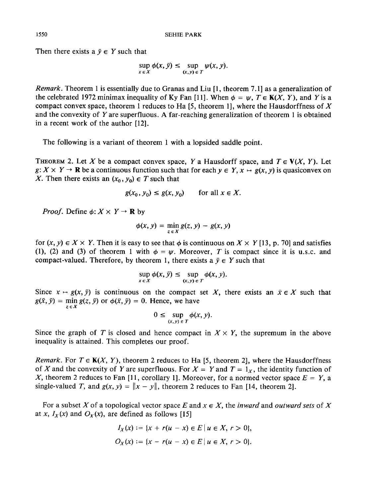Then there exists a  $\bar{y} \in Y$  such that

$$
\sup_{x \in X} \phi(x, \bar{y}) \le \sup_{(x, y) \in T} \psi(x, y).
$$

*Remark.* Theorem 1 is essentially due to Granas and Liu [1, theorem 7.1] as a generalization of the celebrated 1972 minimax inequality of Ky Fan [11]. When  $\phi = \psi$ ,  $T \in K(X, Y)$ , and Y is a compact convex space, theorem 1 reduces to Ha [5, theorem 1], where the Hausdorffness of  $X$ and the convexity of Y are superfluous. A far-reaching generalization of theorem 1 is obtained in a recent work of the author [12].

The following is a variant of theorem 1 with a lopsided saddle point.

THEOREM 2. Let X be a compact convex space, Y a Hausdorff space, and  $T \in V(X, Y)$ . Let  $g: X \times Y \to \mathbb{R}$  be a continuous function such that for each  $y \in Y$ ,  $x \mapsto g(x, y)$  is quasiconvex on X. Then there exists an  $(x_0, y_0) \in T$  such that

$$
g(x_0, y_0) \le g(x, y_0) \qquad \text{for all } x \in X.
$$

*Proof.* Define  $\phi: X \times Y \rightarrow \mathbb{R}$  by

$$
\phi(x, y) = \min_{z \in X} g(z, y) - g(x, y)
$$

for  $(x, y) \in X \times Y$ . Then it is easy to see that  $\phi$  is continuous on  $X \times Y$  [13, p. 70] and satisfies (1), (2) and (3) of theorem 1 with  $\phi = \psi$ . Moreover, T is compact since it is u.s.c. and compact-valued. Therefore, by theorem 1, there exists a  $\bar{y} \in Y$  such that

$$
\sup_{x \in X} \phi(x, \bar{y}) \leq \sup_{(x, y) \in T} \phi(x, y).
$$

Since  $x \mapsto g(x, \bar{y})$  is continuous on the compact set X, there exists an  $\bar{x} \in X$  such that  $g(\bar{x}, \bar{y}) = \min g(z, \bar{y})$  or  $\phi(\bar{x}, \bar{y}) = 0$ . Hence, we have  $z \in \Omega$ 

$$
0 \leq \sup_{(x,y)\in T} \phi(x,y).
$$

Since the graph of T is closed and hence compact in  $X \times Y$ , the supremum in the above inequality is attained. This completes our proof.

*Remark.* For  $T \in K(X, Y)$ , theorem 2 reduces to Ha [5, theorem 2], where the Hausdorffness of X and the convexity of Y are superfluous. For  $X = Y$  and  $T = 1<sub>x</sub>$ , the identity function of X, theorem 2 reduces to Fan [11, corollary 1]. Moreover, for a normed vector space  $E = Y$ , a single-valued T, and  $g(x, y) = ||x - y||$ , theorem 2 reduces to Fan [14, theorem 2].

For a subset X of a topological vector space E and  $x \in X$ , the *inward* and *outward sets* of X at *x*,  $I_X(x)$  and  $O_X(x)$ , are defined as follows [15]

$$
I_X(x) := \{x + r(u - x) \in E \mid u \in X, r > 0\},\
$$
  

$$
O_X(x) := \{x - r(u - x) \in E \mid u \in X, r > 0\}.
$$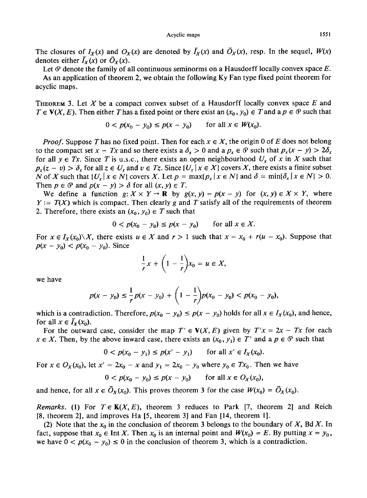The closures of  $I_X(x)$  and  $O_X(x)$  are denoted by  $\overline{I}_X(x)$  and  $\overline{O}_X(x)$ , resp. In the sequel,  $W(x)$ denotes either  $\bar{I}_X(x)$  or  $\bar{O}_X(x)$ .

Let  $\Phi$  denote the family of all continuous seminorms on a Hausdorff locally convex space  $E$ . As an application of theorem 2, we obtain the following Ky Fan type fixed point theorem for acyclic maps.

THEOREM 3. Let X be a compact convex subset of a Hausdorff locally convex space  $E$  and  $T \in V(X, E)$ . Then either T has a fixed point or there exist an  $(x_0, y_0) \in T$  and a  $p \in \mathcal{P}$  such that

$$
0 < p(x_0 - y_0) \le p(x - y_0) \qquad \text{for all } x \in W(x_0).
$$

*Proof.* Suppose T has no fixed point. Then for each  $x \in X$ , the origin 0 of E does not belong to the compact set  $x - Tx$  and so there exists a  $\delta_x > 0$  and a  $p_x \in \mathcal{P}$  such that  $p_x(x - y) > 2\delta_x$ for all  $y \in Tx$ . Since T is u.s.c., there exists an open neighbourhood  $U_x$  of x in X such that  $p_x(z - v) > \delta_x$  for all  $z \in U_x$  and  $v \in T_z$ . Since  $\{U_x | x \in X\}$  covers X, there exists a finite subset N of X such that  $\{U_x | x \in N\}$  covers X. Let  $p = \max\{p_x | x \in N\}$  and  $\delta = \min\{\delta_x | x \in N\} > 0$ . Then  $p \in \mathcal{P}$  and  $p(x - y) > \delta$  for all  $(x, y) \in T$ .

We define a function  $g: X \times Y \to \mathbb{R}$  by  $g(x, y) = p(x - y)$  for  $(x, y) \in X \times Y$ , where  $Y = T(X)$  which is compact. Then clearly g and T satisfy all of the requirements of theorem 2. Therefore, there exists an  $(x_0, y_0) \in T$  such that

$$
0 < p(x_0 - y_0) \le p(x - y_0) \qquad \text{for all } x \in X.
$$

For  $x \in I_X(x_0) \setminus X$ , there exists  $u \in X$  and  $r > 1$  such that  $x = x_0 + r(u - x_0)$ . Suppose that  $p(x - y_0) < p(x_0 - y_0)$ . Since

$$
\frac{1}{r}x + \left(1 - \frac{1}{r}\right)x_0 = u \in X,
$$

we have

$$
p(x - y_0) \leq \frac{1}{r} p(x - y_0) + \left(1 - \frac{1}{r}\right) p(x_0 - y_0) < p(x_0 - y_0),
$$

which is a contradiction. Therefore,  $p(x_0 - y_0) \leq p(x - y_0)$  holds for all  $x \in I_X(x_0)$ , and hence, for all  $x \in \overline{I}_X(x_0)$ .

For the outward case, consider the map  $T' \in V(X, E)$  given by  $T'x = 2x - Tx$  for each  $x \in X$ . Then, by the above inward case, there exists an  $(x_0, y_1) \in T'$  and a  $p \in \mathcal{P}$  such that

$$
0 < p(x_0 - y_1) \le p(x' - y_1) \qquad \text{for all } x' \in I_X(x_0).
$$

For  $x \in O_X(x_0)$ , let  $x' = 2x_0 - x$  and  $y_1 = 2x_0 - y_0$  where  $y_0 \in Tx_0$ . Then we have

$$
0 < p(x_0 - y_0) \le p(x - y_0) \qquad \text{for all } x \in O_X(x_0),
$$

and hence, for all  $x \in \overline{O}_X(x_0)$ . This proves theorem 3 for the case  $W(x_0) = \overline{O}_X(x_0)$ .

*Remarks.* (1) For  $T \in K(X, E)$ , theorem 3 reduces to Park [7, theorem 2] and Reich [8, theorem 2], and improves Ha [5, theorem 3] and Fan [14, theorem 1].

(2) Note that the  $x_0$  in the conclusion of theorem 3 belongs to the boundary of X, Bd X. In fact, suppose that  $x_0 \in \text{Int } X$ . Then  $x_0$  is an internal point and  $W(x_0) = E$ . By putting  $x = y_0$ , we have  $0 < p(x_0 - y_0) \le 0$  in the conclusion of theorem 3, which is a contradiction.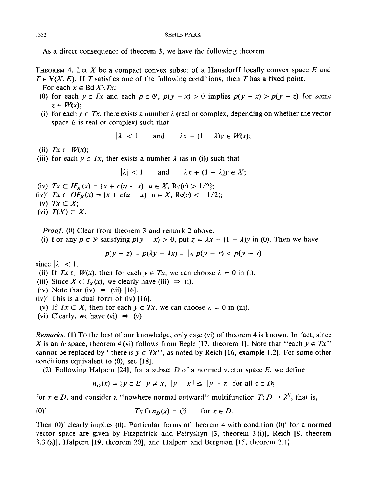As a direct consequence of theorem 3, we have the following theorem.

THEOREM 4. Let X be a compact convex subset of a Hausdorff locally convex space E and  $T \in V(X, E)$ . If T satisfies one of the following conditions, then T has a fixed point.

For each  $x \in \text{Bd } X \setminus Tx$ :

- (0) for each  $y \in Tx$  and each  $p \in \mathcal{P}$ ,  $p(y x) > 0$  implies  $p(y x) > p(y z)$  for some  $z \in W(x)$ :
- (i) for each  $y \in Tx$ , there exists a number  $\lambda$  (real or complex, depending on whether the vector space  $E$  is real or complex) such that

 $|\lambda| < 1$  and  $\lambda x + (1 - \lambda)v \in W(x)$ ;

(ii)  $Tx \subset W(x)$ ;

(iii) for each  $y \in Tx$ , ther exists a number  $\lambda$  (as in (i)) such that

 $|\lambda| < 1$  and  $\lambda x + (1 - \lambda)y \in X$ ;

- (iv)  $Tx \subset IF_X(x) = \{x + c(u x) \mid u \in X, \text{Re}(c) > 1/2\};$
- (iv)'  $Tx \subset OF_X(x) = \{x + c(u x) \mid u \in X, \text{Re}(c) < -1/2\};$
- (v) *Tx C X;*
- (vi)  $T(X) \subset X$ .

*Proof.* (0) Clear from theorem 3 and remark 2 above.

(i) For any  $p \in \mathcal{P}$  satisfying  $p(y - x) > 0$ , put  $z = \lambda x + (1 - \lambda)y$  in (0). Then we have

$$
p(y-z) = p(\lambda y - \lambda x) = |\lambda| p(y - x) < p(y - x)
$$

since  $|\lambda|$  < 1.

- (ii) If  $Tx \subset W(x)$ , then for each  $y \in Tx$ , we can choose  $\lambda = 0$  in (i).
- (iii) Since  $X \subset I_X(x)$ , we clearly have (iii)  $\Rightarrow$  (i).
- (iv) Note that (iv)  $\Leftrightarrow$  (iii) [16].
- $(iv)'$  This is a dual form of  $(iv)$  [16].
- (v) If  $Tx \subset X$ , then for each  $y \in Tx$ , we can choose  $\lambda = 0$  in (iii).
- (vi) Clearly, we have (vi)  $\Rightarrow$  (v).

*Remarks.* (1) To the best of our knowledge, only case (vi) of theorem 4 is known. In fact, since X is an *lc* space, theorem 4 (vi) follows from Begle [17, theorem 1]. Note that "each  $y \in Tx$ " cannot be replaced by "there is  $y \in Tx$ ", as noted by Reich [16, example 1.2]. For some other conditions equivalent to (0), see [18].

(2) Following Halpern [24], for a subset D of a normed vector space  $E$ , we define

$$
n_D(x) = \{ y \in E \mid y \neq x, \|y - x\| \le \|y - z\| \text{ for all } z \in D \}
$$

for  $x \in D$ , and consider a "nowhere normal outward" multifunction  $T: D \to 2^X$ , that is,

(0)' 
$$
Tx \cap n_D(x) = \emptyset \quad \text{for } x \in D.
$$

Then (0)' clearly implies (0). Particular forms of theorem 4 with condition (0)' for a normed vector space are given by Fitzpatrick and Petryshyn [3, theorem 3 (i)], Reich [8, theorem 3.3 (a)l, Halpern [19, theorem 20], and Halpern and Bergman [15, theorem 2.1].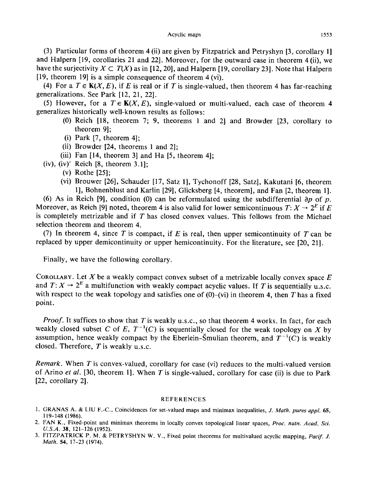(3) Particular forms of theorem 4 (ii) are given by Fitzpatrick and Petryshyn [3, corollary 1] and Halpern [19, corollaries 21 and 22]. Moreover, for the outward case in theorem 4 (ii), we have the surjectivity  $X \subset T(X)$  as in [12, 20], and Halpern [19, corollary 23]. Note that Halpern [19, theorem 19] is a simple consequence of theorem 4 (vi).

(4) For a  $T \in K(X, E)$ , if E is real or if T is single-valued, then theorem 4 has far-reaching generalizations. See Park [12, 21, 22].

(5) However, for a  $T \in K(X, E)$ , single-valued or multi-valued, each case of theorem 4 generalizes historically well-known results as follows:

- (0) Reich [18, theorem 7; 9, theorems 1 and 2] and Browder [23, corollary to theorem 9];
- (i) Park [7, theorem 4];
- (ii) Browder [24, theorems 1 and 2];
- (iii) Fan [14, theorem 3] and Ha [5, theorem 4];
- (iv), (iv)' Reich [8, theorem 3.1];
	- (v) Rothe [25];
	- (vi) Brouwer [26], Schauder [17, Satz 1], Tychonoff [28, Satz], Kakutani [6, theorem 1], Bohnenblust and Karlin [29], Glicksberg [4, theorem], and Fan [2, theorem 1].

(6) As in Reich [9], condition (0) can be reformulated using the subdifferential  $\partial p$  of p. Moreover, as Reich [9] noted, theorem 4 is also valid for lower semicontinuous  $T: X \to 2^E$  if E is completely metrizable and if  $T$  has closed convex values. This follows from the Michael selection theorem and theorem 4.

(7) In theorem 4, since T is compact, if E is real, then upper semicontinuity of T can be replaced by upper demicontinuity or upper hemicontinuity. For the literature, see [20, 21].

Finally, we have the following corollary.

COROLLARY. Let X be a weakly compact convex subset of a metrizable locally convex space  $E$ and  $T: X \to 2^E$  a multifunction with weakly compact acyclic values. If T is sequentially u.s.c. with respect to the weak topology and satisfies one of  $(0)$ - $(vi)$  in theorem 4, then T has a fixed point.

*Proof.* It suffices to show that T is weakly u.s.c., so that theorem 4 works. In fact, for each weakly closed subset C of E,  $T^{-1}(C)$  is sequentially closed for the weak topology on X by assumption, hence weakly compact by the Eberlein-Smulian theorem, and  $T^{-1}(C)$  is weakly closed. Therefore,  $T$  is weakly u.s.c.

*Remark.* When T is convex-valued, corollary for case (vi) reduces to the multi-valued version of Arino *et al.* [30, theorem 1]. When Tis single-valued, corollary for case (ii) is due to Park [22, corollary 2].

### REFERENCES

- 1. GRANAS A. & LIU F.-C., Coincidences for set-valued maps and minimax inequalities, *J. Math. pures appl.* 65, 119-148 (1986).
- 2. FAN K., Fixed-point and minimax theorems in locally convex topological linear spaces, *Proc. natn. Acad. Sci. U.S.A.* 38, 121-126 (1952).
- 3. FITZPATRICK P. M. & PETRYSHYN W. V., Fixed point theorems for multivalued acyclic mapping, *Pacif. J. Math.* 54, 17-23 (1974).